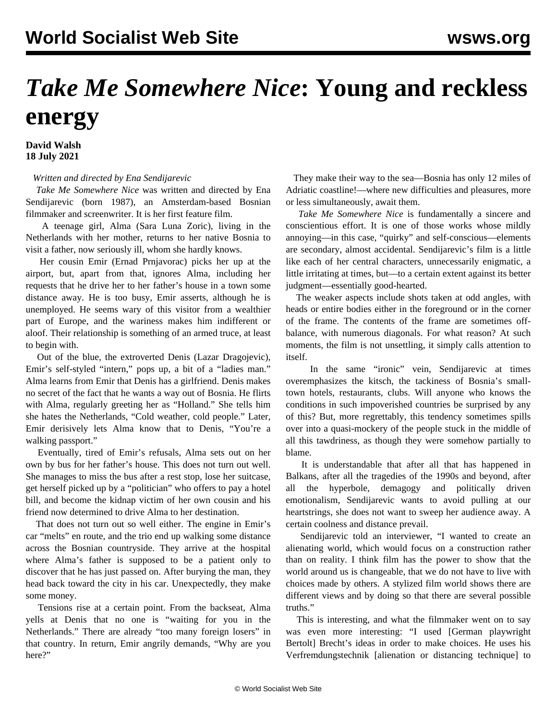## *Take Me Somewhere Nice***: Young and reckless energy**

**David Walsh 18 July 2021**

## *Written and directed by Ena Sendijarevic*

 *Take Me Somewhere Nice* was written and directed by Ena Sendijarevic (born 1987), an Amsterdam-based Bosnian filmmaker and screenwriter. It is her first feature film.

 A teenage girl, Alma (Sara Luna Zoric), living in the Netherlands with her mother, returns to her native Bosnia to visit a father, now seriously ill, whom she hardly knows.

 Her cousin Emir (Ernad Prnjavorac) picks her up at the airport, but, apart from that, ignores Alma, including her requests that he drive her to her father's house in a town some distance away. He is too busy, Emir asserts, although he is unemployed. He seems wary of this visitor from a wealthier part of Europe, and the wariness makes him indifferent or aloof. Their relationship is something of an armed truce, at least to begin with.

 Out of the blue, the extroverted Denis (Lazar Dragojevic), Emir's self-styled "intern," pops up, a bit of a "ladies man." Alma learns from Emir that Denis has a girlfriend. Denis makes no secret of the fact that he wants a way out of Bosnia. He flirts with Alma, regularly greeting her as "Holland." She tells him she hates the Netherlands, "Cold weather, cold people." Later, Emir derisively lets Alma know that to Denis, "You're a walking passport."

 Eventually, tired of Emir's refusals, Alma sets out on her own by bus for her father's house. This does not turn out well. She manages to miss the bus after a rest stop, lose her suitcase, get herself picked up by a "politician" who offers to pay a hotel bill, and become the kidnap victim of her own cousin and his friend now determined to drive Alma to her destination.

 That does not turn out so well either. The engine in Emir's car "melts" en route, and the trio end up walking some distance across the Bosnian countryside. They arrive at the hospital where Alma's father is supposed to be a patient only to discover that he has just passed on. After burying the man, they head back toward the city in his car. Unexpectedly, they make some money.

 Tensions rise at a certain point. From the backseat, Alma yells at Denis that no one is "waiting for you in the Netherlands." There are already "too many foreign losers" in that country. In return, Emir angrily demands, "Why are you here?"

 They make their way to the sea—Bosnia has only 12 miles of Adriatic coastline!—where new difficulties and pleasures, more or less simultaneously, await them.

 *Take Me Somewhere Nice* is fundamentally a sincere and conscientious effort. It is one of those works whose mildly annoying—in this case, "quirky" and self-conscious—elements are secondary, almost accidental. Sendijarevic's film is a little like each of her central characters, unnecessarily enigmatic, a little irritating at times, but—to a certain extent against its better judgment—essentially good-hearted.

 The weaker aspects include shots taken at odd angles, with heads or entire bodies either in the foreground or in the corner of the frame. The contents of the frame are sometimes offbalance, with numerous diagonals. For what reason? At such moments, the film is not unsettling, it simply calls attention to itself.

 In the same "ironic" vein, Sendijarevic at times overemphasizes the kitsch, the tackiness of Bosnia's smalltown hotels, restaurants, clubs. Will anyone who knows the conditions in such impoverished countries be surprised by any of this? But, more regrettably, this tendency sometimes spills over into a quasi-mockery of the people stuck in the middle of all this tawdriness, as though they were somehow partially to blame.

 It is understandable that after all that has happened in Balkans, after all the tragedies of the 1990s and beyond, after all the hyperbole, demagogy and politically driven emotionalism, Sendijarevic wants to avoid pulling at our heartstrings, she does not want to sweep her audience away. A certain coolness and distance prevail.

 Sendijarevic told an interviewer, "I wanted to create an alienating world, which would focus on a construction rather than on reality. I think film has the power to show that the world around us is changeable, that we do not have to live with choices made by others. A stylized film world shows there are different views and by doing so that there are several possible truths."

 This is interesting, and what the filmmaker went on to say was even more interesting: "I used [German playwright Bertolt] Brecht's ideas in order to make choices. He uses his Verfremdungstechnik [alienation or distancing technique] to